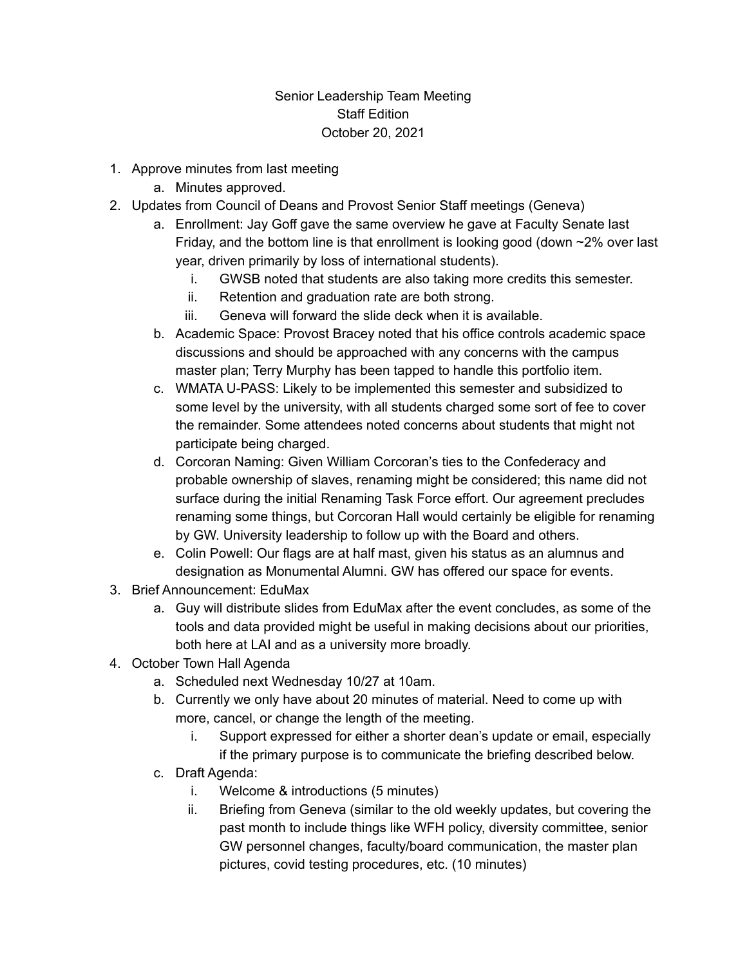## Senior Leadership Team Meeting Staff Edition October 20, 2021

- 1. Approve minutes from last meeting
	- a. Minutes approved.
- 2. Updates from Council of Deans and Provost Senior Staff meetings (Geneva)
	- a. Enrollment: Jay Goff gave the same overview he gave at Faculty Senate last Friday, and the bottom line is that enrollment is looking good (down  $\approx$ 2% over last year, driven primarily by loss of international students).
		- i. GWSB noted that students are also taking more credits this semester.
		- ii. Retention and graduation rate are both strong.
		- iii. Geneva will forward the slide deck when it is available.
	- b. Academic Space: Provost Bracey noted that his office controls academic space discussions and should be approached with any concerns with the campus master plan; Terry Murphy has been tapped to handle this portfolio item.
	- c. WMATA U-PASS: Likely to be implemented this semester and subsidized to some level by the university, with all students charged some sort of fee to cover the remainder. Some attendees noted concerns about students that might not participate being charged.
	- d. Corcoran Naming: Given William Corcoran's ties to the Confederacy and probable ownership of slaves, renaming might be considered; this name did not surface during the initial Renaming Task Force effort. Our agreement precludes renaming some things, but Corcoran Hall would certainly be eligible for renaming by GW. University leadership to follow up with the Board and others.
	- e. Colin Powell: Our flags are at half mast, given his status as an alumnus and designation as Monumental Alumni. GW has offered our space for events.
- 3. Brief Announcement: EduMax
	- a. Guy will distribute slides from EduMax after the event concludes, as some of the tools and data provided might be useful in making decisions about our priorities, both here at LAI and as a university more broadly.
- 4. October Town Hall Agenda
	- a. Scheduled next Wednesday 10/27 at 10am.
	- b. Currently we only have about 20 minutes of material. Need to come up with more, cancel, or change the length of the meeting.
		- i. Support expressed for either a shorter dean's update or email, especially if the primary purpose is to communicate the briefing described below.
	- c. Draft Agenda:
		- i. Welcome & introductions (5 minutes)
		- ii. Briefing from Geneva (similar to the old weekly updates, but covering the past month to include things like WFH policy, diversity committee, senior GW personnel changes, faculty/board communication, the master plan pictures, covid testing procedures, etc. (10 minutes)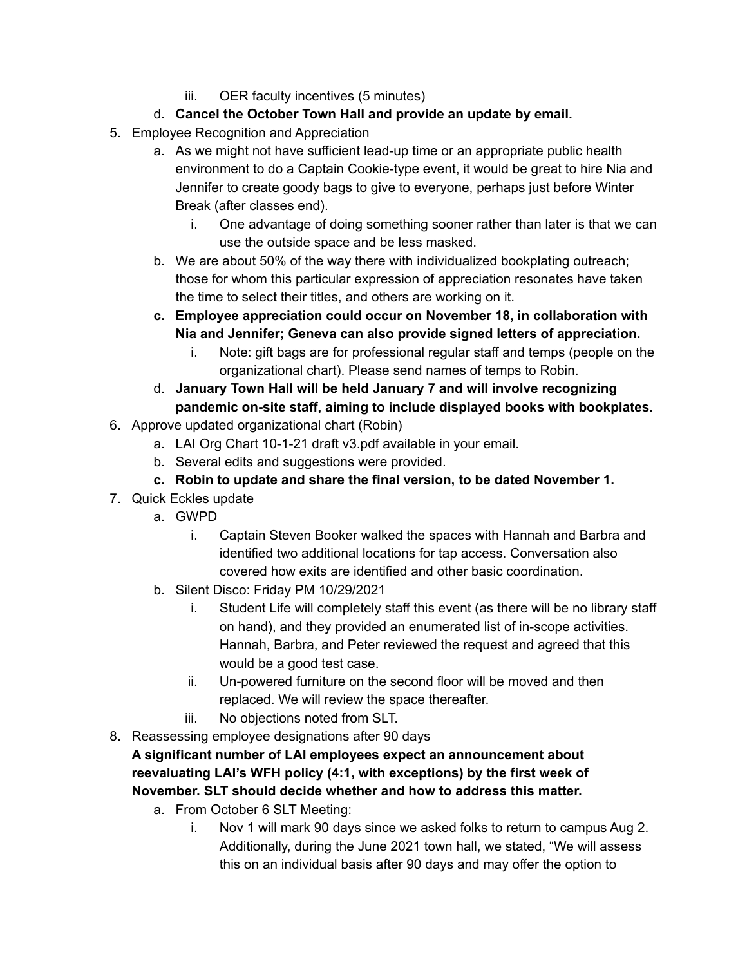iii. OER faculty incentives (5 minutes)

## d. **Cancel the October Town Hall and provide an update by email.**

- 5. Employee Recognition and Appreciation
	- a. As we might not have sufficient lead-up time or an appropriate public health environment to do a Captain Cookie-type event, it would be great to hire Nia and Jennifer to create goody bags to give to everyone, perhaps just before Winter Break (after classes end).
		- i. One advantage of doing something sooner rather than later is that we can use the outside space and be less masked.
	- b. We are about 50% of the way there with individualized bookplating outreach; those for whom this particular expression of appreciation resonates have taken the time to select their titles, and others are working on it.
	- **c. Employee appreciation could occur on November 18, in collaboration with Nia and Jennifer; Geneva can also provide signed letters of appreciation.**
		- i. Note: gift bags are for professional regular staff and temps (people on the organizational chart). Please send names of temps to Robin.
	- d. **January Town Hall will be held January 7 and will involve recognizing pandemic on-site staff, aiming to include displayed books with bookplates.**
- 6. Approve updated organizational chart (Robin)
	- a. LAI Org Chart 10-1-21 draft v3.pdf available in your email.
	- b. Several edits and suggestions were provided.
	- **c. Robin to update and share the final version, to be dated November 1.**
- 7. Quick Eckles update
	- a. GWPD
		- i. Captain Steven Booker walked the spaces with Hannah and Barbra and identified two additional locations for tap access. Conversation also covered how exits are identified and other basic coordination.
	- b. Silent Disco: Friday PM 10/29/2021
		- i. Student Life will completely staff this event (as there will be no library staff on hand), and they provided an enumerated list of in-scope activities. Hannah, Barbra, and Peter reviewed the request and agreed that this would be a good test case.
		- ii. Un-powered furniture on the second floor will be moved and then replaced. We will review the space thereafter.
		- iii. No objections noted from SLT.
- 8. Reassessing employee designations after 90 days

**A significant number of LAI employees expect an announcement about reevaluating LAI's WFH policy (4:1, with exceptions) by the first week of November. SLT should decide whether and how to address this matter.**

- a. From October 6 SLT Meeting:
	- i. Nov 1 will mark 90 days since we asked folks to return to campus Aug 2. Additionally, during the June 2021 town hall, we stated, "We will assess this on an individual basis after 90 days and may offer the option to